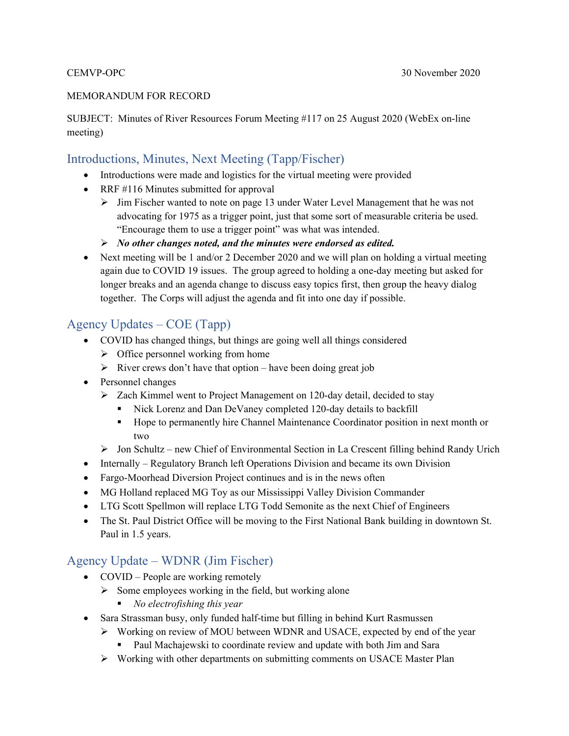#### MEMORANDUM FOR RECORD

SUBJECT: Minutes of River Resources Forum Meeting #117 on 25 August 2020 (WebEx on-line meeting)

#### Introductions, Minutes, Next Meeting (Tapp/Fischer)

- Introductions were made and logistics for the virtual meeting were provided
- RRF #116 Minutes submitted for approval
	- Jim Fischer wanted to note on page 13 under Water Level Management that he was not advocating for 1975 as a trigger point, just that some sort of measurable criteria be used. "Encourage them to use a trigger point" was what was intended.
	- *No other changes noted, and the minutes were endorsed as edited.*
- Next meeting will be 1 and/or 2 December 2020 and we will plan on holding a virtual meeting again due to COVID 19 issues. The group agreed to holding a one-day meeting but asked for longer breaks and an agenda change to discuss easy topics first, then group the heavy dialog together. The Corps will adjust the agenda and fit into one day if possible.

#### Agency Updates – COE (Tapp)

- COVID has changed things, but things are going well all things considered
	- $\triangleright$  Office personnel working from home
	- $\triangleright$  River crews don't have that option have been doing great job
- Personnel changes
	- $\triangleright$  Zach Kimmel went to Project Management on 120-day detail, decided to stay
		- Nick Lorenz and Dan DeVaney completed 120-day details to backfill
		- Hope to permanently hire Channel Maintenance Coordinator position in next month or two
	- Jon Schultz new Chief of Environmental Section in La Crescent filling behind Randy Urich
- Internally Regulatory Branch left Operations Division and became its own Division
- Fargo-Moorhead Diversion Project continues and is in the news often
- MG Holland replaced MG Toy as our Mississippi Valley Division Commander
- LTG Scott Spellmon will replace LTG Todd Semonite as the next Chief of Engineers
- The St. Paul District Office will be moving to the First National Bank building in downtown St. Paul in 1.5 years.

## Agency Update – WDNR (Jim Fischer)

- COVID People are working remotely
	- $\triangleright$  Some employees working in the field, but working alone
		- *No electrofishing this year*
- Sara Strassman busy, only funded half-time but filling in behind Kurt Rasmussen
	- $\triangleright$  Working on review of MOU between WDNR and USACE, expected by end of the year
		- Paul Machajewski to coordinate review and update with both Jim and Sara
	- Working with other departments on submitting comments on USACE Master Plan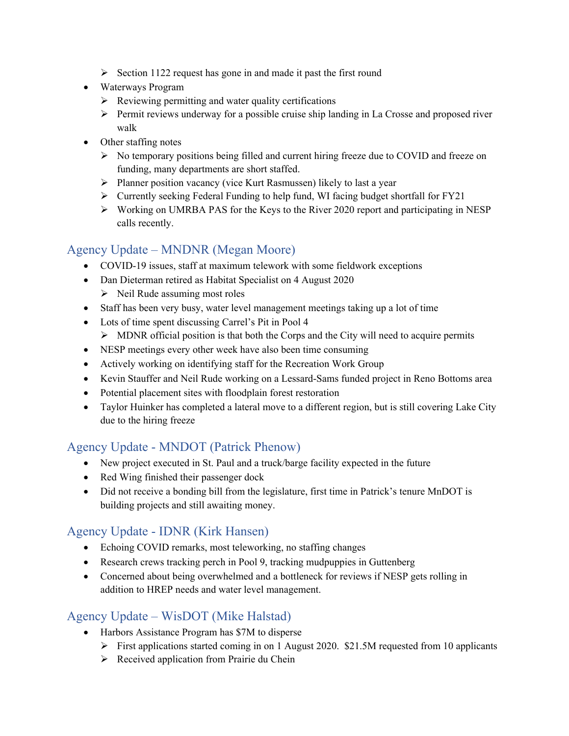- $\triangleright$  Section 1122 request has gone in and made it past the first round
- Waterways Program
	- $\triangleright$  Reviewing permitting and water quality certifications
	- $\triangleright$  Permit reviews underway for a possible cruise ship landing in La Crosse and proposed river walk
- Other staffing notes
	- $\triangleright$  No temporary positions being filled and current hiring freeze due to COVID and freeze on funding, many departments are short staffed.
	- $\triangleright$  Planner position vacancy (vice Kurt Rasmussen) likely to last a year
	- $\triangleright$  Currently seeking Federal Funding to help fund, WI facing budget shortfall for FY21
	- Working on UMRBA PAS for the Keys to the River 2020 report and participating in NESP calls recently.

# Agency Update – MNDNR (Megan Moore)

- COVID-19 issues, staff at maximum telework with some fieldwork exceptions
- Dan Dieterman retired as Habitat Specialist on 4 August 2020
	- $\triangleright$  Neil Rude assuming most roles
- Staff has been very busy, water level management meetings taking up a lot of time
- Lots of time spent discussing Carrel's Pit in Pool 4
	- $\triangleright$  MDNR official position is that both the Corps and the City will need to acquire permits
- NESP meetings every other week have also been time consuming
- Actively working on identifying staff for the Recreation Work Group
- Kevin Stauffer and Neil Rude working on a Lessard-Sams funded project in Reno Bottoms area
- Potential placement sites with floodplain forest restoration
- Taylor Huinker has completed a lateral move to a different region, but is still covering Lake City due to the hiring freeze

## Agency Update - MNDOT (Patrick Phenow)

- New project executed in St. Paul and a truck/barge facility expected in the future
- Red Wing finished their passenger dock
- Did not receive a bonding bill from the legislature, first time in Patrick's tenure MnDOT is building projects and still awaiting money.

## Agency Update - IDNR (Kirk Hansen)

- Echoing COVID remarks, most teleworking, no staffing changes
- Research crews tracking perch in Pool 9, tracking mudpuppies in Guttenberg
- Concerned about being overwhelmed and a bottleneck for reviews if NESP gets rolling in addition to HREP needs and water level management.

## Agency Update – WisDOT (Mike Halstad)

- Harbors Assistance Program has \$7M to disperse
	- First applications started coming in on 1 August 2020. \$21.5M requested from 10 applicants
	- $\triangleright$  Received application from Prairie du Chein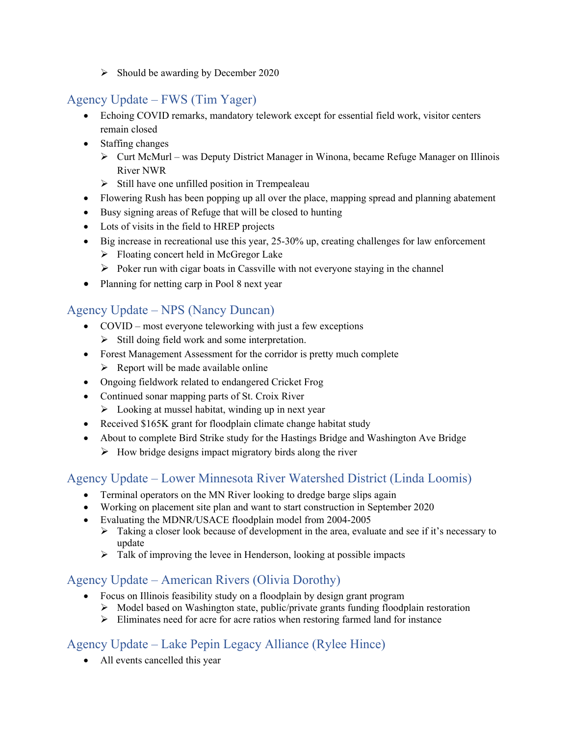$\triangleright$  Should be awarding by December 2020

# Agency Update – FWS (Tim Yager)

- Echoing COVID remarks, mandatory telework except for essential field work, visitor centers remain closed
- Staffing changes
	- $\triangleright$  Curt McMurl was Deputy District Manager in Winona, became Refuge Manager on Illinois River NWR
	- $\triangleright$  Still have one unfilled position in Trempealeau
- Flowering Rush has been popping up all over the place, mapping spread and planning abatement
- Busy signing areas of Refuge that will be closed to hunting
- Lots of visits in the field to HREP projects
- $\bullet$  Big increase in recreational use this year, 25-30% up, creating challenges for law enforcement
	- $\triangleright$  Floating concert held in McGregor Lake
	- $\triangleright$  Poker run with cigar boats in Cassville with not everyone staying in the channel
- Planning for netting carp in Pool 8 next year

#### Agency Update – NPS (Nancy Duncan)

- COVID most everyone teleworking with just a few exceptions
	- $\triangleright$  Still doing field work and some interpretation.
- Forest Management Assessment for the corridor is pretty much complete
	- $\triangleright$  Report will be made available online
- Ongoing fieldwork related to endangered Cricket Frog
- Continued sonar mapping parts of St. Croix River  $\triangleright$  Looking at mussel habitat, winding up in next year
- Received \$165K grant for floodplain climate change habitat study
- About to complete Bird Strike study for the Hastings Bridge and Washington Ave Bridge
	- $\triangleright$  How bridge designs impact migratory birds along the river

#### Agency Update – Lower Minnesota River Watershed District (Linda Loomis)

- Terminal operators on the MN River looking to dredge barge slips again
- Working on placement site plan and want to start construction in September 2020
- Evaluating the MDNR/USACE floodplain model from 2004-2005
	- $\triangleright$  Taking a closer look because of development in the area, evaluate and see if it's necessary to update
	- $\triangleright$  Talk of improving the levee in Henderson, looking at possible impacts

#### Agency Update – American Rivers (Olivia Dorothy)

- Focus on Illinois feasibility study on a floodplain by design grant program
	- $\triangleright$  Model based on Washington state, public/private grants funding floodplain restoration
	- $\triangleright$  Eliminates need for acre for acre ratios when restoring farmed land for instance

#### Agency Update – Lake Pepin Legacy Alliance (Rylee Hince)

All events cancelled this year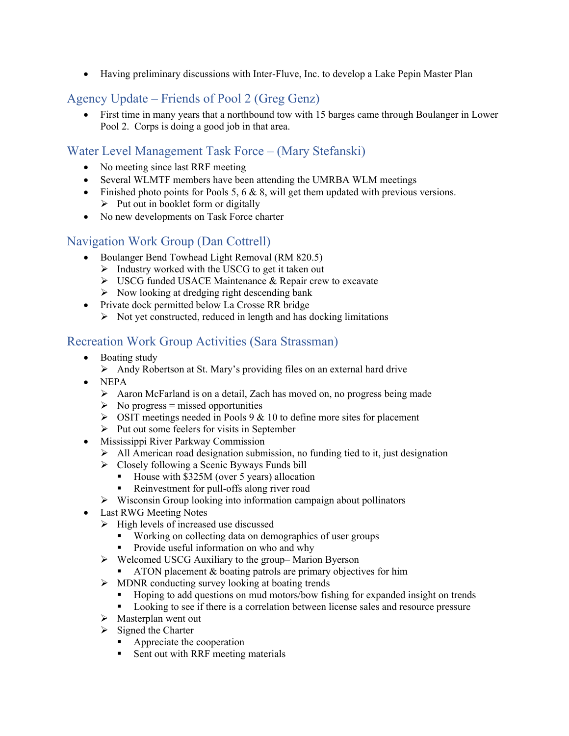Having preliminary discussions with Inter-Fluve, Inc. to develop a Lake Pepin Master Plan

## Agency Update – Friends of Pool 2 (Greg Genz)

 First time in many years that a northbound tow with 15 barges came through Boulanger in Lower Pool 2. Corps is doing a good job in that area.

#### Water Level Management Task Force – (Mary Stefanski)

- No meeting since last RRF meeting
- Several WLMTF members have been attending the UMRBA WLM meetings
- $\bullet$  Finished photo points for Pools 5, 6 & 8, will get them updated with previous versions.  $\triangleright$  Put out in booklet form or digitally
- No new developments on Task Force charter

#### Navigation Work Group (Dan Cottrell)

- Boulanger Bend Towhead Light Removal (RM 820.5)
	- $\triangleright$  Industry worked with the USCG to get it taken out
	- USCG funded USACE Maintenance & Repair crew to excavate
	- $\triangleright$  Now looking at dredging right descending bank
- Private dock permitted below La Crosse RR bridge
	- $\triangleright$  Not yet constructed, reduced in length and has docking limitations

#### Recreation Work Group Activities (Sara Strassman)

- Boating study
	- $\triangleright$  Andy Robertson at St. Mary's providing files on an external hard drive
- NEPA
	- Aaron McFarland is on a detail, Zach has moved on, no progress being made
	- $\triangleright$  No progress = missed opportunities
	- $\triangleright$  OSIT meetings needed in Pools 9 & 10 to define more sites for placement
	- $\triangleright$  Put out some feelers for visits in September
- Mississippi River Parkway Commission
	- $\triangleright$  All American road designation submission, no funding tied to it, just designation
	- Closely following a Scenic Byways Funds bill
		- House with \$325M (over 5 years) allocation
		- Reinvestment for pull-offs along river road
	- $\triangleright$  Wisconsin Group looking into information campaign about pollinators
- Last RWG Meeting Notes
	- $\triangleright$  High levels of increased use discussed
		- Working on collecting data on demographics of user groups
		- **Provide useful information on who and why**
	- $\triangleright$  Welcomed USCG Auxiliary to the group–Marion Byerson
		- ATON placement & boating patrols are primary objectives for him
	- $\triangleright$  MDNR conducting survey looking at boating trends
		- Hoping to add questions on mud motors/bow fishing for expanded insight on trends
		- Looking to see if there is a correlation between license sales and resource pressure
	- $\triangleright$  Masterplan went out
	- $\triangleright$  Signed the Charter
		- **Appreciate the cooperation**
		- Sent out with RRF meeting materials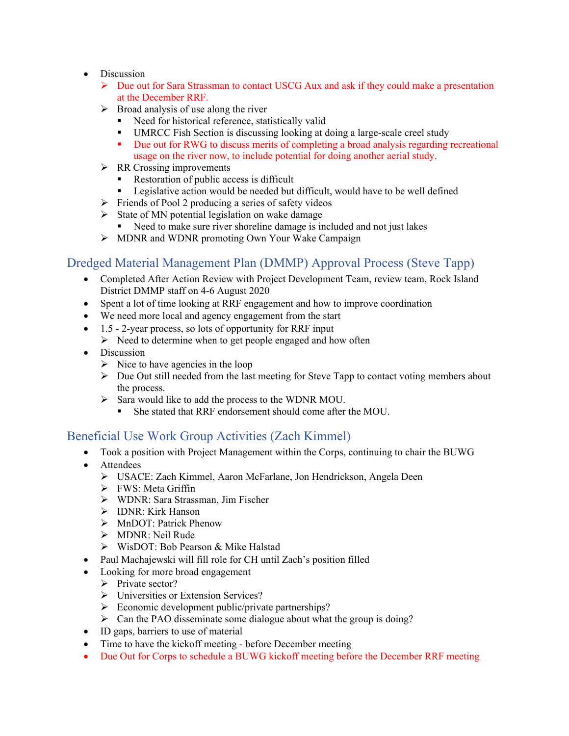- Discussion
	- $\triangleright$  Due out for Sara Strassman to contact USCG Aux and ask if they could make a presentation at the December RRF.
	- $\triangleright$  Broad analysis of use along the river
		- Need for historical reference, statistically valid
		- UMRCC Fish Section is discussing looking at doing a large-scale creel study
		- Due out for RWG to discuss merits of completing a broad analysis regarding recreational usage on the river now, to include potential for doing another aerial study.
	- $\triangleright$  RR Crossing improvements
		- Restoration of public access is difficult
		- **Example 1** Legislative action would be needed but difficult, would have to be well defined
	- $\triangleright$  Friends of Pool 2 producing a series of safety videos
	- $\triangleright$  State of MN potential legislation on wake damage
	- Need to make sure river shoreline damage is included and not just lakes
	- $\triangleright$  MDNR and WDNR promoting Own Your Wake Campaign

#### Dredged Material Management Plan (DMMP) Approval Process (Steve Tapp)

- Completed After Action Review with Project Development Team, review team, Rock Island District DMMP staff on 4-6 August 2020
- Spent a lot of time looking at RRF engagement and how to improve coordination
- We need more local and agency engagement from the start
- $\bullet$  1.5 2-year process, so lots of opportunity for RRF input
	- $\triangleright$  Need to determine when to get people engaged and how often
- Discussion
	- $\triangleright$  Nice to have agencies in the loop
	- $\triangleright$  Due Out still needed from the last meeting for Steve Tapp to contact voting members about the process.
	- $\triangleright$  Sara would like to add the process to the WDNR MOU.
		- She stated that RRF endorsement should come after the MOU.

#### Beneficial Use Work Group Activities (Zach Kimmel)

- Took a position with Project Management within the Corps, continuing to chair the BUWG
- Attendees
	- USACE: Zach Kimmel, Aaron McFarlane, Jon Hendrickson, Angela Deen
	- $\triangleright$  FWS: Meta Griffin
	- WDNR: Sara Strassman, Jim Fischer
	- > IDNR: Kirk Hanson
	- > MnDOT: Patrick Phenow
	- > MDNR: Neil Rude
	- WisDOT: Bob Pearson & Mike Halstad
- Paul Machajewski will fill role for CH until Zach's position filled
- Looking for more broad engagement
	- $\triangleright$  Private sector?
	- > Universities or Extension Services?
	- $\triangleright$  Economic development public/private partnerships?
	- $\triangleright$  Can the PAO disseminate some dialogue about what the group is doing?
- ID gaps, barriers to use of material
- Time to have the kickoff meeting before December meeting
- Due Out for Corps to schedule a BUWG kickoff meeting before the December RRF meeting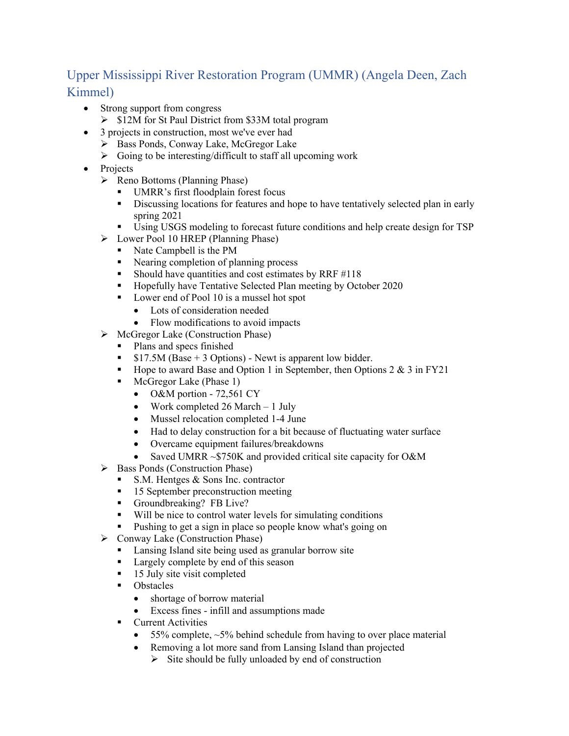# Upper Mississippi River Restoration Program (UMMR) (Angela Deen, Zach Kimmel)

- Strong support from congress
	- $\geq$  \$12M for St Paul District from \$33M total program
- 3 projects in construction, most we've ever had
	- ▶ Bass Ponds, Conway Lake, McGregor Lake
	- $\triangleright$  Going to be interesting/difficult to staff all upcoming work
- Projects
	- $\triangleright$  Reno Bottoms (Planning Phase)
		- UMRR's first floodplain forest focus
		- Discussing locations for features and hope to have tentatively selected plan in early spring 2021
		- Using USGS modeling to forecast future conditions and help create design for TSP
	- Lower Pool 10 HREP (Planning Phase)
		- Nate Campbell is the PM
		- Nearing completion of planning process
		- Should have quantities and cost estimates by RRF  $\#118$
		- Hopefully have Tentative Selected Plan meeting by October 2020
		- Lower end of Pool 10 is a mussel hot spot
			- Lots of consideration needed
			- Flow modifications to avoid impacts
	- $\triangleright$  McGregor Lake (Construction Phase)
		- Plans and specs finished
		- $\bullet$  \$17.5M (Base + 3 Options) Newt is apparent low bidder.
		- Hope to award Base and Option 1 in September, then Options  $2 \& 3$  in FY21
		- **McGregor Lake (Phase 1)** 
			- O&M portion 72,561 CY
			- Work completed  $26$  March  $-1$  July
			- Mussel relocation completed 1-4 June
			- Had to delay construction for a bit because of fluctuating water surface
			- Overcame equipment failures/breakdowns
			- Saved UMRR ~\$750K and provided critical site capacity for O&M
	- $\triangleright$  Bass Ponds (Construction Phase)
		- $\blacksquare$  S.M. Hentges & Sons Inc. contractor
		- 15 September preconstruction meeting
		- Groundbreaking? FB Live?
		- Will be nice to control water levels for simulating conditions
		- **Pushing to get a sign in place so people know what's going on**
	- $\triangleright$  Conway Lake (Construction Phase)
		- **Lansing Island site being used as granular borrow site**
		- **Largely complete by end of this season**
		- <sup>15</sup> July site visit completed
		- Obstacles
			- shortage of borrow material
			- Excess fines infill and assumptions made
		- **Current Activities** 
			- $\bullet$  55% complete,  $\sim$ 5% behind schedule from having to over place material
			- Removing a lot more sand from Lansing Island than projected
				- $\triangleright$  Site should be fully unloaded by end of construction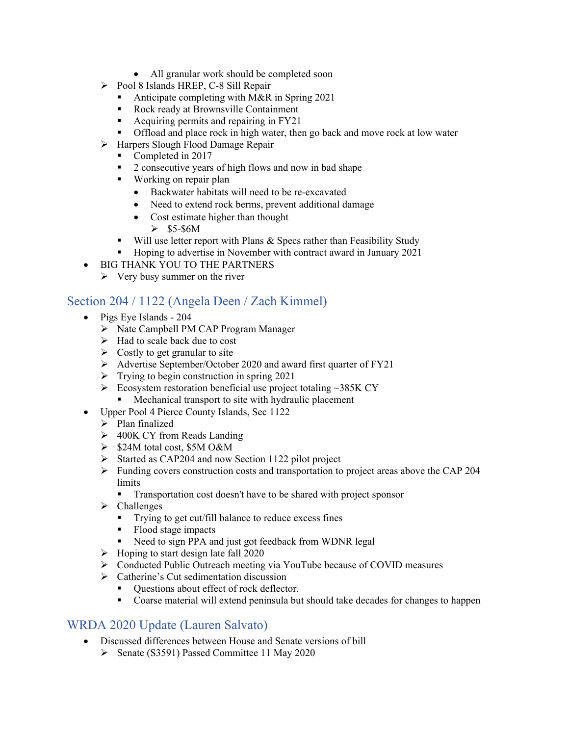- All granular work should be completed soon
- $\triangleright$  Pool 8 Islands HREP, C-8 Sill Repair
	- Anticipate completing with M&R in Spring 2021
	- Rock ready at Brownsville Containment
	- Acquiring permits and repairing in FY21
	- Offload and place rock in high water, then go back and move rock at low water
- $\triangleright$  Harpers Slough Flood Damage Repair
	- Completed in 2017
	- 2 consecutive years of high flows and now in bad shape
	- **Working on repair plan** 
		- Backwater habitats will need to be re-excavated
		- Need to extend rock berms, prevent additional damage
		- Cost estimate higher than thought
			- $\geq$  \$5-\$6M
	- $\blacksquare$  Will use letter report with Plans & Specs rather than Feasibility Study
	- Hoping to advertise in November with contract award in January 2021
- BIG THANK YOU TO THE PARTNERS
	- $\triangleright$  Very busy summer on the river

#### Section 204 / 1122 (Angela Deen / Zach Kimmel)

- Pigs Eye Islands 204
	- > Nate Campbell PM CAP Program Manager
	- $\triangleright$  Had to scale back due to cost
	- $\triangleright$  Costly to get granular to site
	- Advertise September/October 2020 and award first quarter of FY21
	- $\triangleright$  Trying to begin construction in spring 2021
	- $\triangleright$  Ecosystem restoration beneficial use project totaling ~385K CY
		- **Mechanical transport to site with hydraulic placement**
	- Upper Pool 4 Pierce County Islands, Sec 1122
		- > Plan finalized
		- $\geq 400$ K CY from Reads Landing
		- $\geq$  \$24M total cost, \$5M O&M
		- $\triangleright$  Started as CAP204 and now Section 1122 pilot project
		- $\triangleright$  Funding covers construction costs and transportation to project areas above the CAP 204 limits
			- Transportation cost doesn't have to be shared with project sponsor
		- $\triangleright$  Challenges
			- Trying to get cut/fill balance to reduce excess fines
			- Flood stage impacts
			- Need to sign PPA and just got feedback from WDNR legal
		- $\triangleright$  Hoping to start design late fall 2020
		- Conducted Public Outreach meeting via YouTube because of COVID measures
		- $\triangleright$  Catherine's Cut sedimentation discussion
			- **•** Questions about effect of rock deflector.
			- Coarse material will extend peninsula but should take decades for changes to happen

#### WRDA 2020 Update (Lauren Salvato)

- Discussed differences between House and Senate versions of bill
	- $\triangleright$  Senate (S3591) Passed Committee 11 May 2020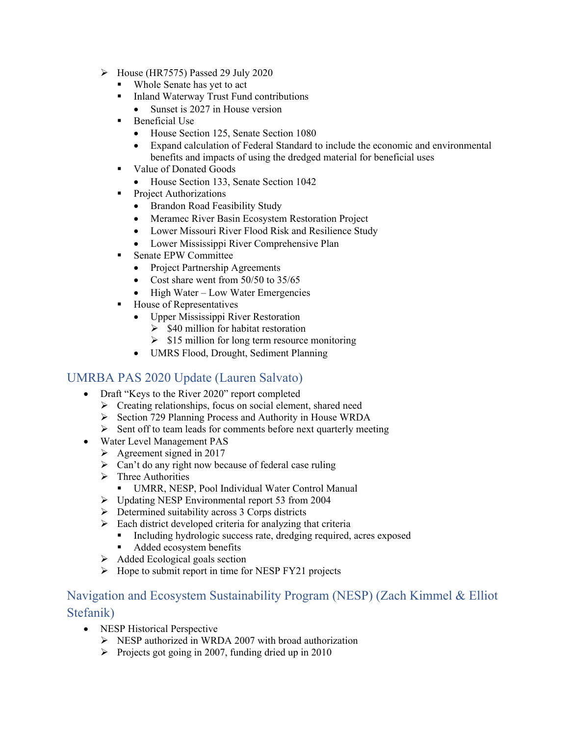- $\triangleright$  House (HR7575) Passed 29 July 2020
	- Whole Senate has yet to act
	- Inland Waterway Trust Fund contributions
		- Sunset is 2027 in House version
	- $\blacksquare$  Beneficial Use
		- House Section 125, Senate Section 1080
		- Expand calculation of Federal Standard to include the economic and environmental benefits and impacts of using the dredged material for beneficial uses
	- Value of Donated Goods
		- House Section 133, Senate Section 1042
	- **Project Authorizations** 
		- Brandon Road Feasibility Study
		- Meramec River Basin Ecosystem Restoration Project
		- Lower Missouri River Flood Risk and Resilience Study
		- Lower Mississippi River Comprehensive Plan
	- Senate EPW Committee
		- Project Partnership Agreements
		- Cost share went from 50/50 to 35/65
		- $\bullet$  High Water Low Water Emergencies
	- House of Representatives
		- Upper Mississippi River Restoration
			- $\geq$  \$40 million for habitat restoration
			- $\geq$  \$15 million for long term resource monitoring
		- UMRS Flood, Drought, Sediment Planning

#### UMRBA PAS 2020 Update (Lauren Salvato)

- Draft "Keys to the River 2020" report completed
	- $\triangleright$  Creating relationships, focus on social element, shared need
	- Section 729 Planning Process and Authority in House WRDA
	- $\triangleright$  Sent off to team leads for comments before next quarterly meeting
- Water Level Management PAS
	- $\triangleright$  Agreement signed in 2017
	- $\triangleright$  Can't do any right now because of federal case ruling
	- $\triangleright$  Three Authorities
		- UMRR, NESP, Pool Individual Water Control Manual
	- Updating NESP Environmental report 53 from 2004
	- $\triangleright$  Determined suitability across 3 Corps districts
	- $\triangleright$  Each district developed criteria for analyzing that criteria
		- Including hydrologic success rate, dredging required, acres exposed
		- Added ecosystem benefits
	- $\triangleright$  Added Ecological goals section
	- $\triangleright$  Hope to submit report in time for NESP FY21 projects

#### Navigation and Ecosystem Sustainability Program (NESP) (Zach Kimmel & Elliot Stefanik)

- NESP Historical Perspective
	- $\triangleright$  NESP authorized in WRDA 2007 with broad authorization
	- Projects got going in 2007, funding dried up in 2010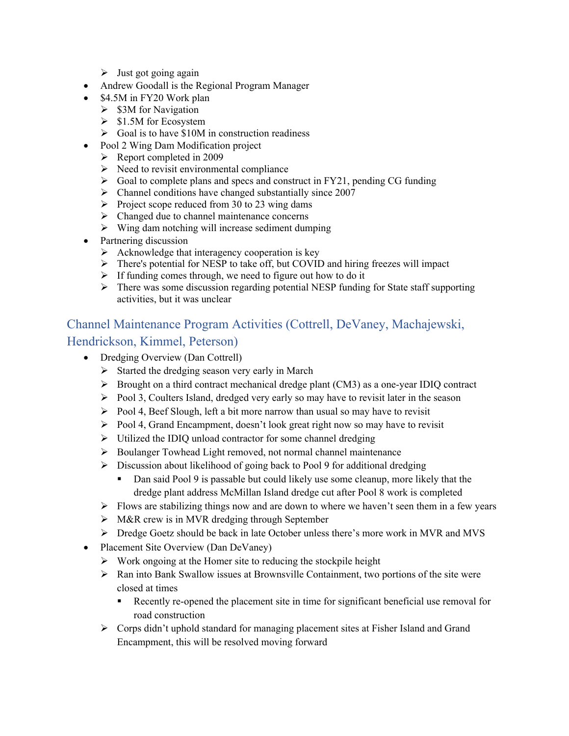- $\triangleright$  Just got going again
- Andrew Goodall is the Regional Program Manager
- \$4.5M in FY20 Work plan
	- $\triangleright$  \$3M for Navigation
	- $\geq$  \$1.5M for Ecosystem
	- $\triangleright$  Goal is to have \$10M in construction readiness
- Pool 2 Wing Dam Modification project
	- $\triangleright$  Report completed in 2009
	- $\triangleright$  Need to revisit environmental compliance
	- $\triangleright$  Goal to complete plans and specs and construct in FY21, pending CG funding
	- $\triangleright$  Channel conditions have changed substantially since 2007
	- Project scope reduced from 30 to 23 wing dams
	- $\triangleright$  Changed due to channel maintenance concerns
	- $\triangleright$  Wing dam notching will increase sediment dumping
- Partnering discussion
	- $\triangleright$  Acknowledge that interagency cooperation is key
	- There's potential for NESP to take off, but COVID and hiring freezes will impact
	- $\triangleright$  If funding comes through, we need to figure out how to do it
	- $\triangleright$  There was some discussion regarding potential NESP funding for State staff supporting activities, but it was unclear

# Channel Maintenance Program Activities (Cottrell, DeVaney, Machajewski, Hendrickson, Kimmel, Peterson)

- Dredging Overview (Dan Cottrell)
	- $\triangleright$  Started the dredging season very early in March
	- $\triangleright$  Brought on a third contract mechanical dredge plant (CM3) as a one-year IDIO contract
	- $\triangleright$  Pool 3, Coulters Island, dredged very early so may have to revisit later in the season
	- $\triangleright$  Pool 4, Beef Slough, left a bit more narrow than usual so may have to revisit
	- $\triangleright$  Pool 4, Grand Encampment, doesn't look great right now so may have to revisit
	- $\triangleright$  Utilized the IDIQ unload contractor for some channel dredging
	- S Boulanger Towhead Light removed, not normal channel maintenance
	- $\triangleright$  Discussion about likelihood of going back to Pool 9 for additional dredging
		- Dan said Pool 9 is passable but could likely use some cleanup, more likely that the dredge plant address McMillan Island dredge cut after Pool 8 work is completed
	- $\triangleright$  Flows are stabilizing things now and are down to where we haven't seen them in a few years
	- M&R crew is in MVR dredging through September
	- $\triangleright$  Dredge Goetz should be back in late October unless there's more work in MVR and MVS
- Placement Site Overview (Dan DeVaney)
	- $\triangleright$  Work ongoing at the Homer site to reducing the stockpile height
	- $\triangleright$  Ran into Bank Swallow issues at Brownsville Containment, two portions of the site were closed at times
		- **Recently re-opened the placement site in time for significant beneficial use removal for** road construction
	- Corps didn't uphold standard for managing placement sites at Fisher Island and Grand Encampment, this will be resolved moving forward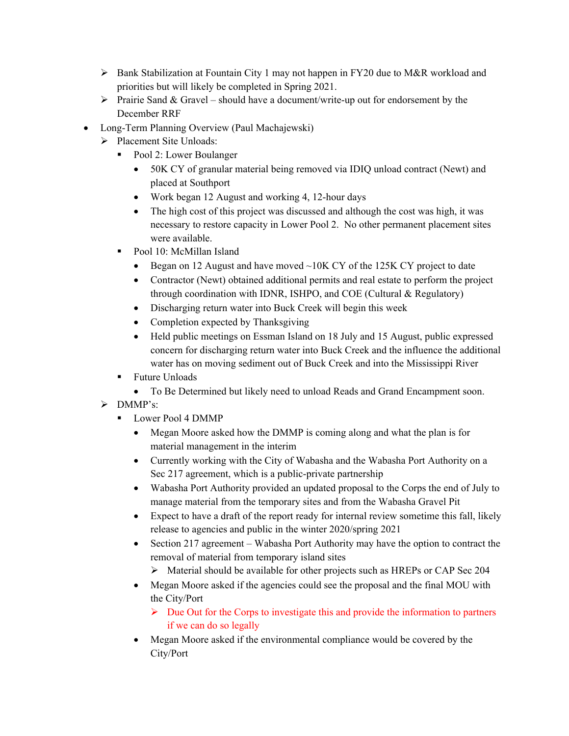- $\triangleright$  Bank Stabilization at Fountain City 1 may not happen in FY20 due to M&R workload and priorities but will likely be completed in Spring 2021.
- Prairie Sand & Gravel should have a document/write-up out for endorsement by the December RRF
- Long-Term Planning Overview (Paul Machajewski)
	- $\triangleright$  Placement Site Unloads:
		- Pool 2: Lower Boulanger
			- 50K CY of granular material being removed via IDIQ unload contract (Newt) and placed at Southport
			- Work began 12 August and working 4, 12-hour days
			- The high cost of this project was discussed and although the cost was high, it was necessary to restore capacity in Lower Pool 2. No other permanent placement sites were available.
		- Pool 10: McMillan Island
			- Began on 12 August and have moved  $\sim$ 10K CY of the 125K CY project to date
			- Contractor (Newt) obtained additional permits and real estate to perform the project through coordination with IDNR, ISHPO, and COE (Cultural & Regulatory)
			- Discharging return water into Buck Creek will begin this week
			- Completion expected by Thanksgiving
			- Held public meetings on Essman Island on 18 July and 15 August, public expressed concern for discharging return water into Buck Creek and the influence the additional water has on moving sediment out of Buck Creek and into the Mississippi River
		- **Future Unloads** 
			- To Be Determined but likely need to unload Reads and Grand Encampment soon.
	- > DMMP's:
		- Ullet Lower Pool 4 DMMP
			- Megan Moore asked how the DMMP is coming along and what the plan is for material management in the interim
			- Currently working with the City of Wabasha and the Wabasha Port Authority on a Sec 217 agreement, which is a public-private partnership
			- Wabasha Port Authority provided an updated proposal to the Corps the end of July to manage material from the temporary sites and from the Wabasha Gravel Pit
			- Expect to have a draft of the report ready for internal review sometime this fall, likely release to agencies and public in the winter 2020/spring 2021
			- Section 217 agreement Wabasha Port Authority may have the option to contract the removal of material from temporary island sites
				- Material should be available for other projects such as HREPs or CAP Sec 204
			- Megan Moore asked if the agencies could see the proposal and the final MOU with the City/Port
				- $\triangleright$  Due Out for the Corps to investigate this and provide the information to partners if we can do so legally
			- Megan Moore asked if the environmental compliance would be covered by the City/Port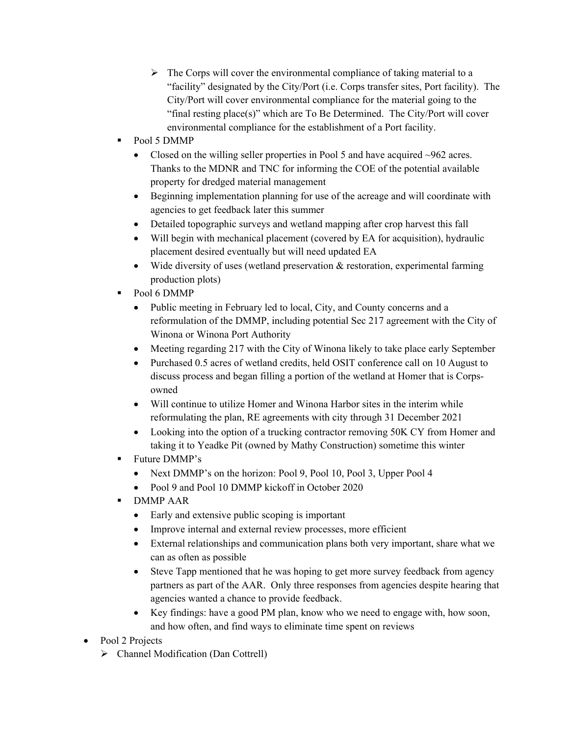- $\triangleright$  The Corps will cover the environmental compliance of taking material to a "facility" designated by the City/Port (i.e. Corps transfer sites, Port facility). The City/Port will cover environmental compliance for the material going to the "final resting place(s)" which are To Be Determined. The City/Port will cover environmental compliance for the establishment of a Port facility.
- Pool 5 DMMP
	- Closed on the willing seller properties in Pool 5 and have acquired  $\sim$ 962 acres. Thanks to the MDNR and TNC for informing the COE of the potential available property for dredged material management
	- Beginning implementation planning for use of the acreage and will coordinate with agencies to get feedback later this summer
	- Detailed topographic surveys and wetland mapping after crop harvest this fall
	- Will begin with mechanical placement (covered by EA for acquisition), hydraulic placement desired eventually but will need updated EA
	- Wide diversity of uses (wetland preservation & restoration, experimental farming production plots)
- Pool 6 DMMP
	- Public meeting in February led to local, City, and County concerns and a reformulation of the DMMP, including potential Sec 217 agreement with the City of Winona or Winona Port Authority
	- Meeting regarding 217 with the City of Winona likely to take place early September
	- Purchased 0.5 acres of wetland credits, held OSIT conference call on 10 August to discuss process and began filling a portion of the wetland at Homer that is Corpsowned
	- Will continue to utilize Homer and Winona Harbor sites in the interim while reformulating the plan, RE agreements with city through 31 December 2021
	- Looking into the option of a trucking contractor removing 50K CY from Homer and taking it to Yeadke Pit (owned by Mathy Construction) sometime this winter
- Future DMMP's
	- Next DMMP's on the horizon: Pool 9, Pool 10, Pool 3, Upper Pool 4
	- Pool 9 and Pool 10 DMMP kickoff in October 2020
- DMMP AAR
	- Early and extensive public scoping is important
	- Improve internal and external review processes, more efficient
	- External relationships and communication plans both very important, share what we can as often as possible
	- Steve Tapp mentioned that he was hoping to get more survey feedback from agency partners as part of the AAR. Only three responses from agencies despite hearing that agencies wanted a chance to provide feedback.
	- Key findings: have a good PM plan, know who we need to engage with, how soon, and how often, and find ways to eliminate time spent on reviews
- Pool 2 Projects
	- > Channel Modification (Dan Cottrell)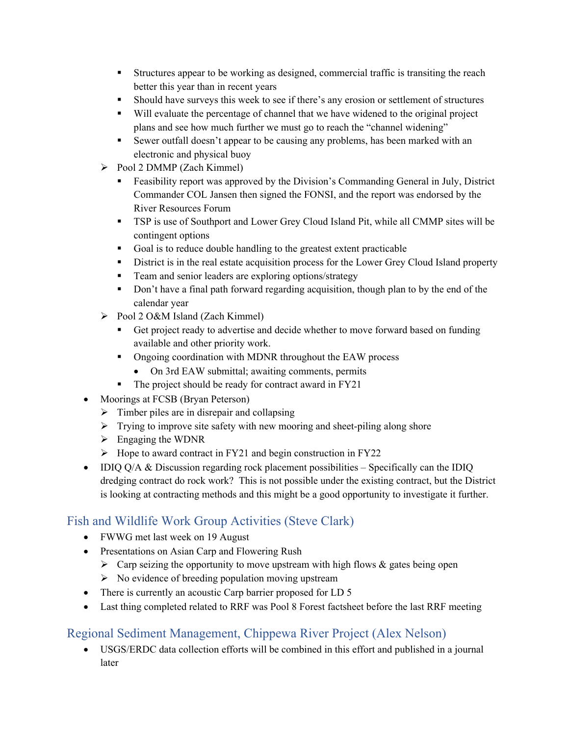- Structures appear to be working as designed, commercial traffic is transiting the reach better this year than in recent years
- Should have surveys this week to see if there's any erosion or settlement of structures
- Will evaluate the percentage of channel that we have widened to the original project plans and see how much further we must go to reach the "channel widening"
- Sewer outfall doesn't appear to be causing any problems, has been marked with an electronic and physical buoy
- $\triangleright$  Pool 2 DMMP (Zach Kimmel)
	- Feasibility report was approved by the Division's Commanding General in July, District Commander COL Jansen then signed the FONSI, and the report was endorsed by the River Resources Forum
	- TSP is use of Southport and Lower Grey Cloud Island Pit, while all CMMP sites will be contingent options
	- Goal is to reduce double handling to the greatest extent practicable
	- District is in the real estate acquisition process for the Lower Grey Cloud Island property
	- **Team and senior leaders are exploring options/strategy**
	- Don't have a final path forward regarding acquisition, though plan to by the end of the calendar year
- $\triangleright$  Pool 2 O&M Island (Zach Kimmel)
	- Get project ready to advertise and decide whether to move forward based on funding available and other priority work.
	- Ongoing coordination with MDNR throughout the EAW process
		- On 3rd EAW submittal; awaiting comments, permits
	- The project should be ready for contract award in FY21
- Moorings at FCSB (Bryan Peterson)
	- $\triangleright$  Timber piles are in disrepair and collapsing
	- $\triangleright$  Trying to improve site safety with new mooring and sheet-piling along shore
	- $\triangleright$  Engaging the WDNR
	- $\triangleright$  Hope to award contract in FY21 and begin construction in FY22
- IDIO  $O/A$  & Discussion regarding rock placement possibilities Specifically can the IDIO dredging contract do rock work? This is not possible under the existing contract, but the District is looking at contracting methods and this might be a good opportunity to investigate it further.

# Fish and Wildlife Work Group Activities (Steve Clark)

- FWWG met last week on 19 August
- Presentations on Asian Carp and Flowering Rush
	- $\triangleright$  Carp seizing the opportunity to move upstream with high flows & gates being open
	- $\triangleright$  No evidence of breeding population moving upstream
- There is currently an acoustic Carp barrier proposed for LD 5
- Last thing completed related to RRF was Pool 8 Forest factsheet before the last RRF meeting

## Regional Sediment Management, Chippewa River Project (Alex Nelson)

 USGS/ERDC data collection efforts will be combined in this effort and published in a journal later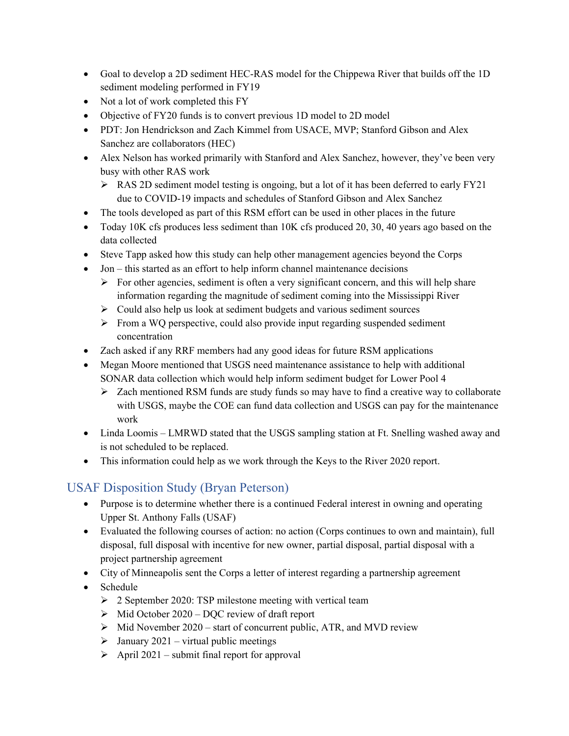- Goal to develop a 2D sediment HEC-RAS model for the Chippewa River that builds off the 1D sediment modeling performed in FY19
- Not a lot of work completed this FY
- Objective of FY20 funds is to convert previous 1D model to 2D model
- PDT: Jon Hendrickson and Zach Kimmel from USACE, MVP; Stanford Gibson and Alex Sanchez are collaborators (HEC)
- Alex Nelson has worked primarily with Stanford and Alex Sanchez, however, they've been very busy with other RAS work
	- RAS 2D sediment model testing is ongoing, but a lot of it has been deferred to early FY21 due to COVID-19 impacts and schedules of Stanford Gibson and Alex Sanchez
- The tools developed as part of this RSM effort can be used in other places in the future
- Today 10K cfs produces less sediment than 10K cfs produced 20, 30, 40 years ago based on the data collected
- Steve Tapp asked how this study can help other management agencies beyond the Corps
- Jon this started as an effort to help inform channel maintenance decisions
	- $\triangleright$  For other agencies, sediment is often a very significant concern, and this will help share information regarding the magnitude of sediment coming into the Mississippi River
	- $\triangleright$  Could also help us look at sediment budgets and various sediment sources
	- From a WQ perspective, could also provide input regarding suspended sediment concentration
- Zach asked if any RRF members had any good ideas for future RSM applications
- Megan Moore mentioned that USGS need maintenance assistance to help with additional SONAR data collection which would help inform sediment budget for Lower Pool 4
	- $\triangleright$  Zach mentioned RSM funds are study funds so may have to find a creative way to collaborate with USGS, maybe the COE can fund data collection and USGS can pay for the maintenance work
- Linda Loomis LMRWD stated that the USGS sampling station at Ft. Snelling washed away and is not scheduled to be replaced.
- This information could help as we work through the Keys to the River 2020 report.

## USAF Disposition Study (Bryan Peterson)

- Purpose is to determine whether there is a continued Federal interest in owning and operating Upper St. Anthony Falls (USAF)
- Evaluated the following courses of action: no action (Corps continues to own and maintain), full disposal, full disposal with incentive for new owner, partial disposal, partial disposal with a project partnership agreement
- City of Minneapolis sent the Corps a letter of interest regarding a partnership agreement
- Schedule
	- $\geq$  2 September 2020: TSP milestone meeting with vertical team
	- $\triangleright$  Mid October 2020 DQC review of draft report
	- $\triangleright$  Mid November 2020 start of concurrent public, ATR, and MVD review
	- $\triangleright$  January 2021 virtual public meetings
	- $\triangleright$  April 2021 submit final report for approval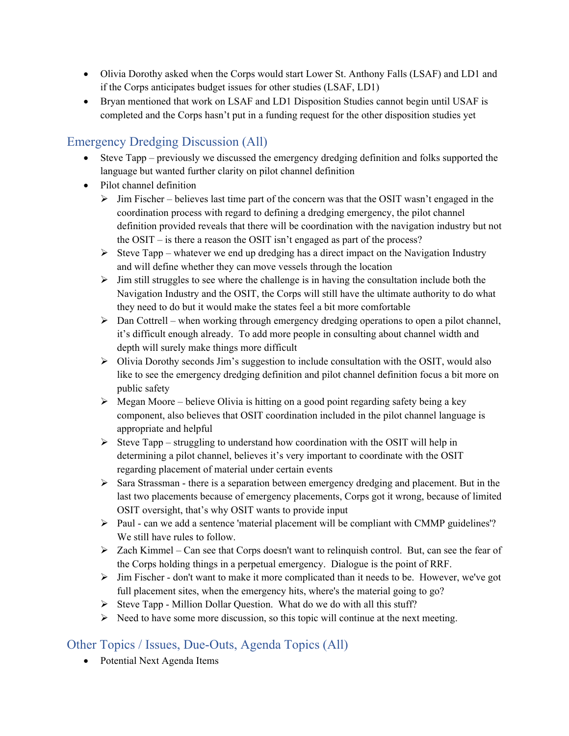- Olivia Dorothy asked when the Corps would start Lower St. Anthony Falls (LSAF) and LD1 and if the Corps anticipates budget issues for other studies (LSAF, LD1)
- Bryan mentioned that work on LSAF and LD1 Disposition Studies cannot begin until USAF is completed and the Corps hasn't put in a funding request for the other disposition studies yet

# Emergency Dredging Discussion (All)

- Steve Tapp previously we discussed the emergency dredging definition and folks supported the language but wanted further clarity on pilot channel definition
- Pilot channel definition
	- $\triangleright$  Jim Fischer believes last time part of the concern was that the OSIT wasn't engaged in the coordination process with regard to defining a dredging emergency, the pilot channel definition provided reveals that there will be coordination with the navigation industry but not the OSIT – is there a reason the OSIT isn't engaged as part of the process?
	- $\triangleright$  Steve Tapp whatever we end up dredging has a direct impact on the Navigation Industry and will define whether they can move vessels through the location
	- $\triangleright$  Jim still struggles to see where the challenge is in having the consultation include both the Navigation Industry and the OSIT, the Corps will still have the ultimate authority to do what they need to do but it would make the states feel a bit more comfortable
	- $\triangleright$  Dan Cottrell when working through emergency dredging operations to open a pilot channel, it's difficult enough already. To add more people in consulting about channel width and depth will surely make things more difficult
	- $\triangleright$  Olivia Dorothy seconds Jim's suggestion to include consultation with the OSIT, would also like to see the emergency dredging definition and pilot channel definition focus a bit more on public safety
	- $\triangleright$  Megan Moore believe Olivia is hitting on a good point regarding safety being a key component, also believes that OSIT coordination included in the pilot channel language is appropriate and helpful
	- $\triangleright$  Steve Tapp struggling to understand how coordination with the OSIT will help in determining a pilot channel, believes it's very important to coordinate with the OSIT regarding placement of material under certain events
	- $\triangleright$  Sara Strassman there is a separation between emergency dredging and placement. But in the last two placements because of emergency placements, Corps got it wrong, because of limited OSIT oversight, that's why OSIT wants to provide input
	- $\triangleright$  Paul can we add a sentence 'material placement will be compliant with CMMP guidelines'? We still have rules to follow.
	- $\triangleright$  Zach Kimmel Can see that Corps doesn't want to relinquish control. But, can see the fear of the Corps holding things in a perpetual emergency. Dialogue is the point of RRF.
	- $\triangleright$  Jim Fischer don't want to make it more complicated than it needs to be. However, we've got full placement sites, when the emergency hits, where's the material going to go?
	- $\triangleright$  Steve Tapp Million Dollar Question. What do we do with all this stuff?
	- $\triangleright$  Need to have some more discussion, so this topic will continue at the next meeting.

## Other Topics / Issues, Due-Outs, Agenda Topics (All)

• Potential Next Agenda Items